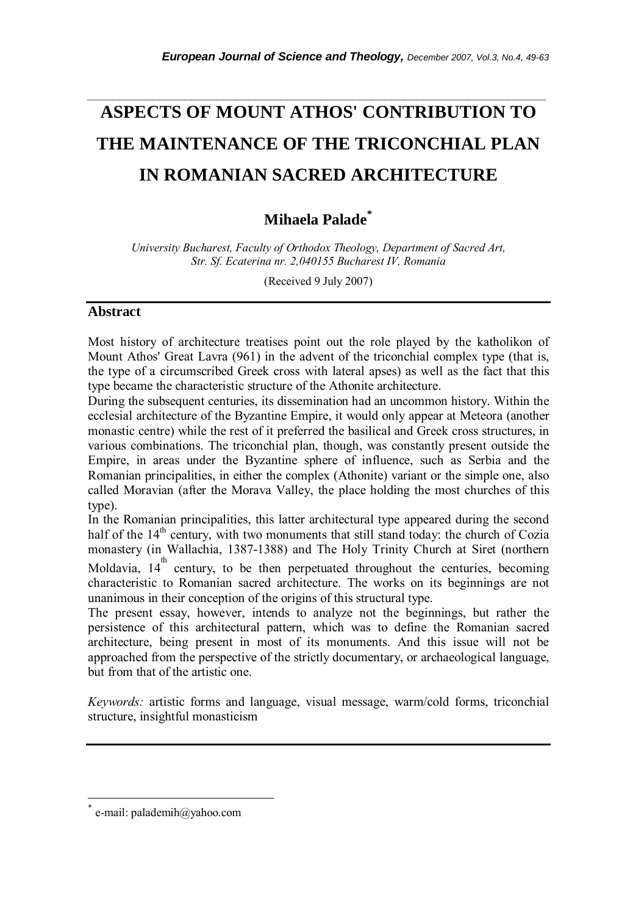# **ASPECTS OF MOUNT ATHOS' CONTRIBUTION TO THE MAINTENANCE OF THE TRICONCHIAL PLAN IN ROMANIAN SACRED ARCHITECTURE**

*\_\_\_\_\_\_\_\_\_\_\_\_\_\_\_\_\_\_\_\_\_\_\_\_\_\_\_\_\_\_\_\_\_\_\_\_\_\_\_\_\_\_\_\_\_\_\_\_\_\_\_\_\_\_\_\_\_\_\_\_\_\_\_\_\_\_\_\_\_\_\_* 

# **Mihaela Palade\***

*University Bucharest, Faculty of Orthodox Theology, Department of Sacred Art, Str. Sf. Ecaterina nr. 2,040155 Bucharest IV, Romania* 

(Received 9 July 2007)

#### **Abstract**

Most history of architecture treatises point out the role played by the katholikon of Mount Athos' Great Lavra (961) in the advent of the triconchial complex type (that is, the type of a circumscribed Greek cross with lateral apses) as well as the fact that this type became the characteristic structure of the Athonite architecture.

During the subsequent centuries, its dissemination had an uncommon history. Within the ecclesial architecture of the Byzantine Empire, it would only appear at Meteora (another monastic centre) while the rest of it preferred the basilical and Greek cross structures, in various combinations. The triconchial plan, though, was constantly present outside the Empire, in areas under the Byzantine sphere of influence, such as Serbia and the Romanian principalities, in either the complex (Athonite) variant or the simple one, also called Moravian (after the Morava Valley, the place holding the most churches of this type).

In the Romanian principalities, this latter architectural type appeared during the second half of the  $14<sup>th</sup>$  century, with two monuments that still stand today: the church of Cozia monastery (in Wallachia, 1387-1388) and The Holy Trinity Church at Siret (northern

Moldavia,  $14^{\text{th}}$  century, to be then perpetuated throughout the centuries, becoming characteristic to Romanian sacred architecture. The works on its beginnings are not unanimous in their conception of the origins of this structural type.

The present essay, however, intends to analyze not the beginnings, but rather the persistence of this architectural pattern, which was to define the Romanian sacred architecture, being present in most of its monuments. And this issue will not be approached from the perspective of the strictly documentary, or archaeological language, but from that of the artistic one.

*Keywords:* artistic forms and language, visual message, warm/cold forms, triconchial structure, insightful monasticism

l

e-mail: palademih@yahoo.com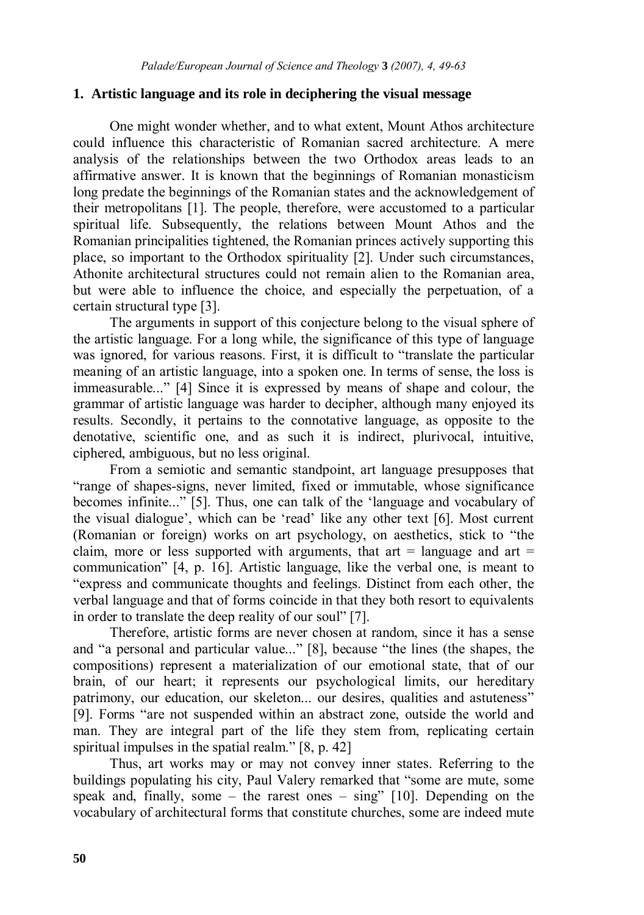## **1. Artistic language and its role in deciphering the visual message**

One might wonder whether, and to what extent, Mount Athos architecture could influence this characteristic of Romanian sacred architecture. A mere analysis of the relationships between the two Orthodox areas leads to an affirmative answer. It is known that the beginnings of Romanian monasticism long predate the beginnings of the Romanian states and the acknowledgement of their metropolitans [1]. The people, therefore, were accustomed to a particular spiritual life. Subsequently, the relations between Mount Athos and the Romanian principalities tightened, the Romanian princes actively supporting this place, so important to the Orthodox spirituality [2]. Under such circumstances, Athonite architectural structures could not remain alien to the Romanian area, but were able to influence the choice, and especially the perpetuation, of a certain structural type [3].

The arguments in support of this conjecture belong to the visual sphere of the artistic language. For a long while, the significance of this type of language was ignored, for various reasons. First, it is difficult to "translate the particular meaning of an artistic language, into a spoken one. In terms of sense, the loss is immeasurable..." [4] Since it is expressed by means of shape and colour, the grammar of artistic language was harder to decipher, although many enjoyed its results. Secondly, it pertains to the connotative language, as opposite to the denotative, scientific one, and as such it is indirect, plurivocal, intuitive, ciphered, ambiguous, but no less original.

From a semiotic and semantic standpoint, art language presupposes that "range of shapes-signs, never limited, fixed or immutable, whose significance becomes infinite..." [5]. Thus, one can talk of the 'language and vocabulary of the visual dialogue', which can be 'read' like any other text [6]. Most current (Romanian or foreign) works on art psychology, on aesthetics, stick to "the claim, more or less supported with arguments, that art  $=$  language and art  $=$ communication" [4, p. 16]. Artistic language, like the verbal one, is meant to "express and communicate thoughts and feelings. Distinct from each other, the verbal language and that of forms coincide in that they both resort to equivalents in order to translate the deep reality of our soul" [7].

Therefore, artistic forms are never chosen at random, since it has a sense and "a personal and particular value..." [8], because "the lines (the shapes, the compositions) represent a materialization of our emotional state, that of our brain, of our heart; it represents our psychological limits, our hereditary patrimony, our education, our skeleton... our desires, qualities and astuteness" [9]. Forms "are not suspended within an abstract zone, outside the world and man. They are integral part of the life they stem from, replicating certain spiritual impulses in the spatial realm." [8, p. 42]

Thus, art works may or may not convey inner states. Referring to the buildings populating his city, Paul Valery remarked that "some are mute, some speak and, finally, some – the rarest ones – sing"  $[10]$ . Depending on the vocabulary of architectural forms that constitute churches, some are indeed mute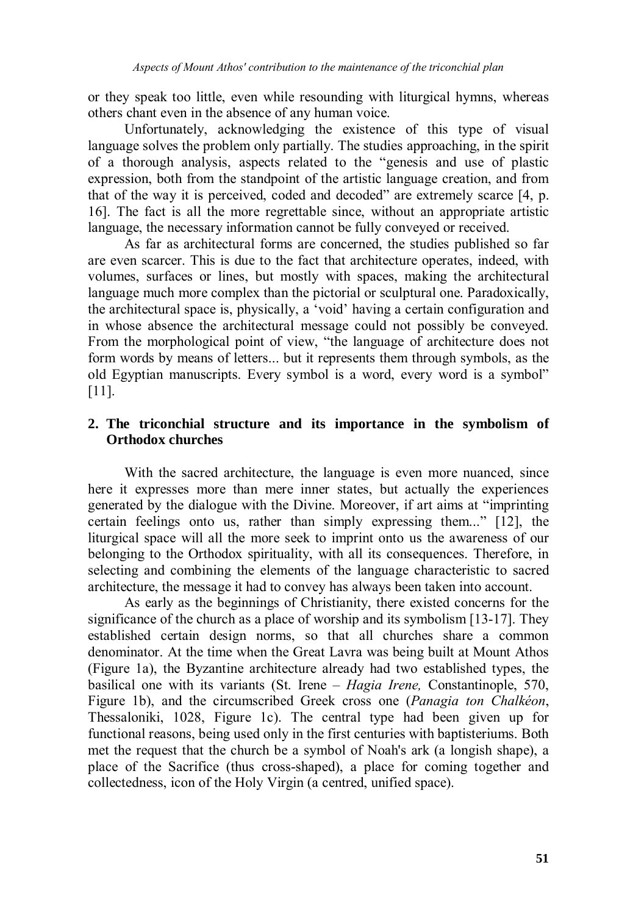or they speak too little, even while resounding with liturgical hymns, whereas others chant even in the absence of any human voice.

Unfortunately, acknowledging the existence of this type of visual language solves the problem only partially. The studies approaching, in the spirit of a thorough analysis, aspects related to the "genesis and use of plastic expression, both from the standpoint of the artistic language creation, and from that of the way it is perceived, coded and decoded" are extremely scarce [4, p. 16]. The fact is all the more regrettable since, without an appropriate artistic language, the necessary information cannot be fully conveyed or received.

As far as architectural forms are concerned, the studies published so far are even scarcer. This is due to the fact that architecture operates, indeed, with volumes, surfaces or lines, but mostly with spaces, making the architectural language much more complex than the pictorial or sculptural one. Paradoxically, the architectural space is, physically, a 'void' having a certain configuration and in whose absence the architectural message could not possibly be conveyed. From the morphological point of view, "the language of architecture does not form words by means of letters... but it represents them through symbols, as the old Egyptian manuscripts. Every symbol is a word, every word is a symbol" [11].

# **2. The triconchial structure and its importance in the symbolism of Orthodox churches**

 With the sacred architecture, the language is even more nuanced, since here it expresses more than mere inner states, but actually the experiences generated by the dialogue with the Divine. Moreover, if art aims at "imprinting certain feelings onto us, rather than simply expressing them..." [12], the liturgical space will all the more seek to imprint onto us the awareness of our belonging to the Orthodox spirituality, with all its consequences. Therefore, in selecting and combining the elements of the language characteristic to sacred architecture, the message it had to convey has always been taken into account.

 As early as the beginnings of Christianity, there existed concerns for the significance of the church as a place of worship and its symbolism [13-17]. They established certain design norms, so that all churches share a common denominator. At the time when the Great Lavra was being built at Mount Athos (Figure 1a), the Byzantine architecture already had two established types, the basilical one with its variants (St. Irene – *Hagia Irene,* Constantinople, 570, Figure 1b), and the circumscribed Greek cross one (*Panagia ton Chalkéon*, Thessaloniki, 1028, Figure 1c). The central type had been given up for functional reasons, being used only in the first centuries with baptisteriums. Both met the request that the church be a symbol of Noah's ark (a longish shape), a place of the Sacrifice (thus cross-shaped), a place for coming together and collectedness, icon of the Holy Virgin (a centred, unified space).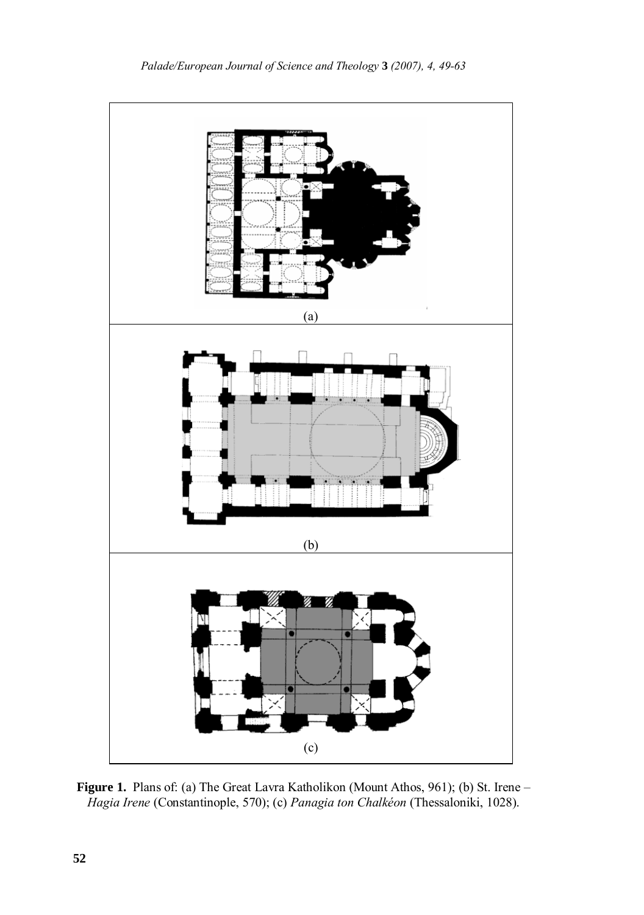

Figure 1. Plans of: (a) The Great Lavra Katholikon (Mount Athos, 961); (b) St. Irene – *Hagia Irene* (Constantinople, 570); (c) *Panagia ton Chalkéon* (Thessaloniki, 1028).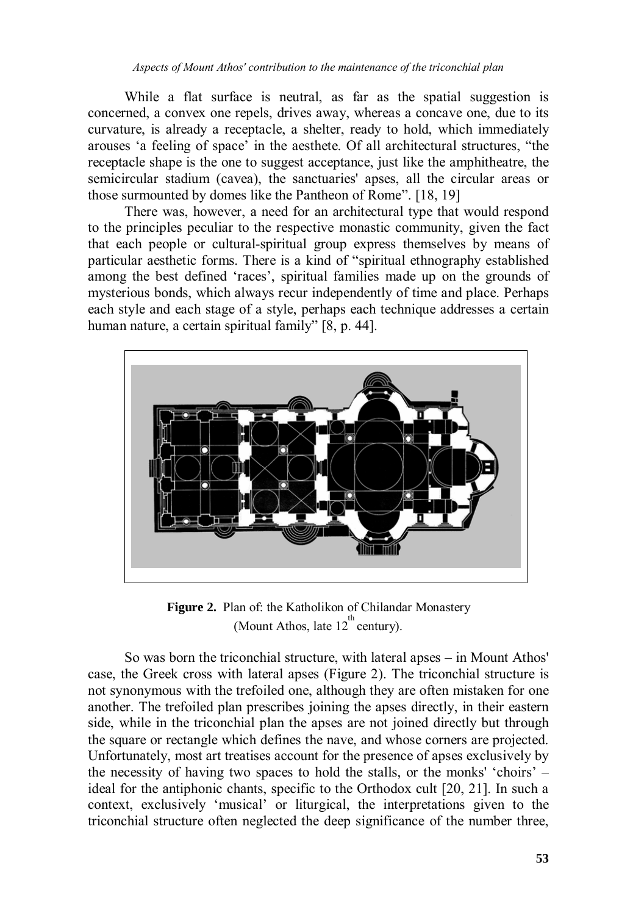While a flat surface is neutral, as far as the spatial suggestion is concerned, a convex one repels, drives away, whereas a concave one, due to its curvature, is already a receptacle, a shelter, ready to hold, which immediately arouses 'a feeling of space' in the aesthete. Of all architectural structures, "the receptacle shape is the one to suggest acceptance, just like the amphitheatre, the semicircular stadium (cavea), the sanctuaries' apses, all the circular areas or those surmounted by domes like the Pantheon of Rome". [18, 19]

 There was, however, a need for an architectural type that would respond to the principles peculiar to the respective monastic community, given the fact that each people or cultural-spiritual group express themselves by means of particular aesthetic forms. There is a kind of "spiritual ethnography established among the best defined 'races', spiritual families made up on the grounds of mysterious bonds, which always recur independently of time and place. Perhaps each style and each stage of a style, perhaps each technique addresses a certain human nature, a certain spiritual family" [8, p. 44].



**Figure 2.** Plan of: the Katholikon of Chilandar Monastery (Mount Athos, late  $12^{th}$  century).

 So was born the triconchial structure, with lateral apses – in Mount Athos' case, the Greek cross with lateral apses (Figure 2). The triconchial structure is not synonymous with the trefoiled one, although they are often mistaken for one another. The trefoiled plan prescribes joining the apses directly, in their eastern side, while in the triconchial plan the apses are not joined directly but through the square or rectangle which defines the nave, and whose corners are projected. Unfortunately, most art treatises account for the presence of apses exclusively by the necessity of having two spaces to hold the stalls, or the monks' 'choirs' – ideal for the antiphonic chants, specific to the Orthodox cult [20, 21]. In such a context, exclusively 'musical' or liturgical, the interpretations given to the triconchial structure often neglected the deep significance of the number three,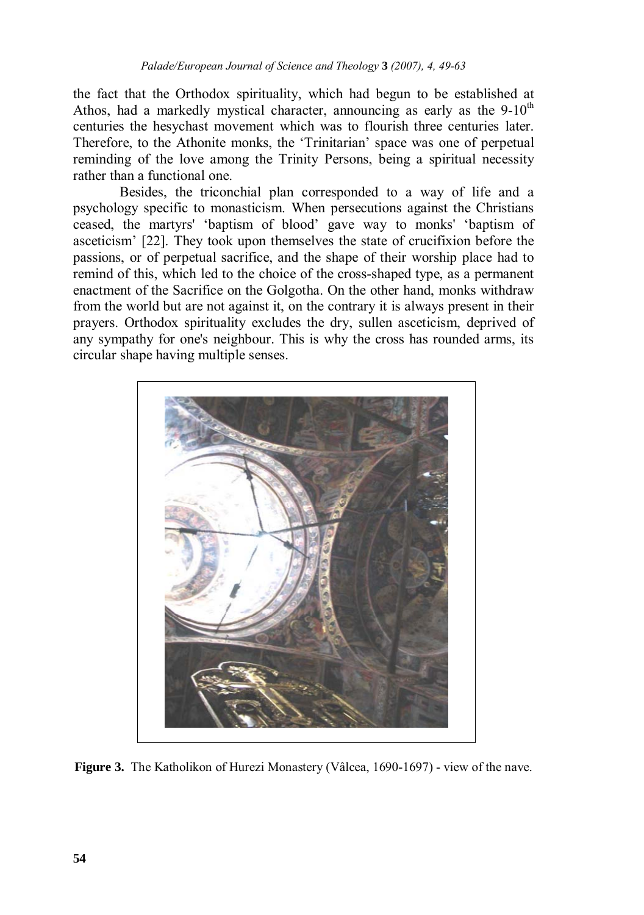the fact that the Orthodox spirituality, which had begun to be established at Athos, had a markedly mystical character, announcing as early as the  $9-10<sup>th</sup>$ centuries the hesychast movement which was to flourish three centuries later. Therefore, to the Athonite monks, the 'Trinitarian' space was one of perpetual reminding of the love among the Trinity Persons, being a spiritual necessity rather than a functional one.

 Besides, the triconchial plan corresponded to a way of life and a psychology specific to monasticism. When persecutions against the Christians ceased, the martyrs' 'baptism of blood' gave way to monks' 'baptism of asceticism' [22]. They took upon themselves the state of crucifixion before the passions, or of perpetual sacrifice, and the shape of their worship place had to remind of this, which led to the choice of the cross-shaped type, as a permanent enactment of the Sacrifice on the Golgotha. On the other hand, monks withdraw from the world but are not against it, on the contrary it is always present in their prayers. Orthodox spirituality excludes the dry, sullen asceticism, deprived of any sympathy for one's neighbour. This is why the cross has rounded arms, its circular shape having multiple senses.



**Figure 3.** The Katholikon of Hurezi Monastery (Vâlcea, 1690-1697) - view of the nave.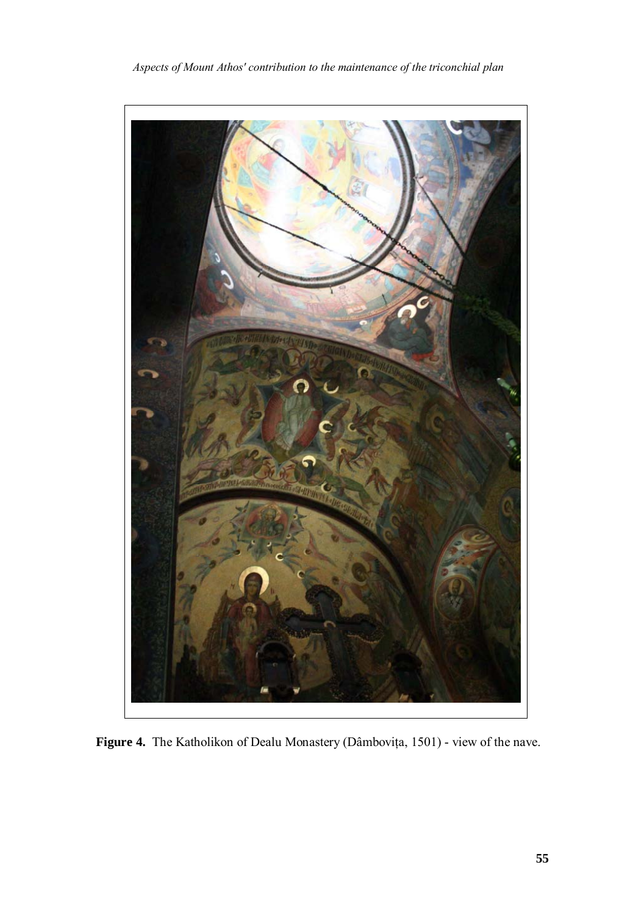

*Aspects of Mount Athos' contribution to the maintenance of the triconchial plan* 

**Figure 4.** The Katholikon of Dealu Monastery (Dâmboviţa, 1501) - view of the nave.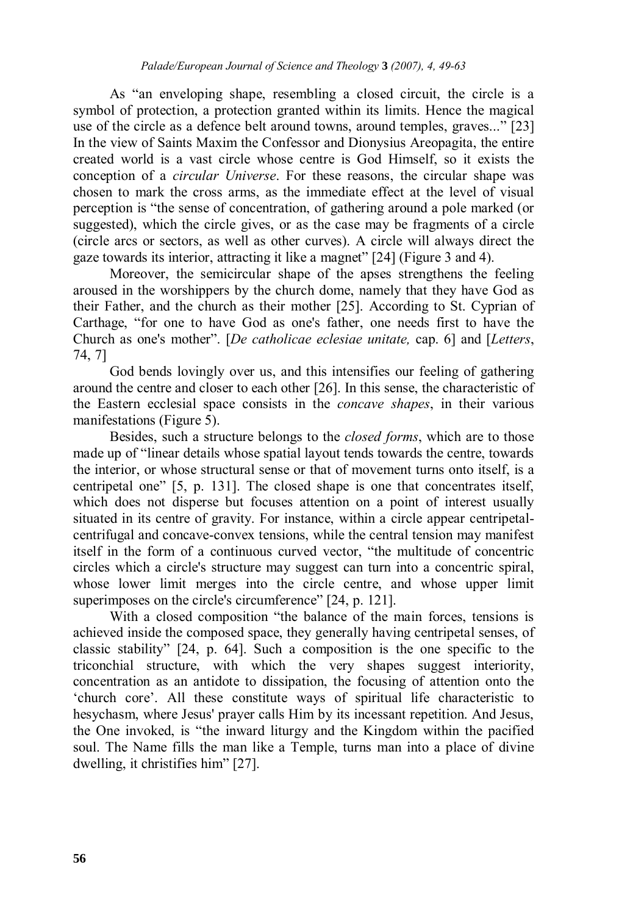As "an enveloping shape, resembling a closed circuit, the circle is a symbol of protection, a protection granted within its limits. Hence the magical use of the circle as a defence belt around towns, around temples, graves..." [23] In the view of Saints Maxim the Confessor and Dionysius Areopagita, the entire created world is a vast circle whose centre is God Himself, so it exists the conception of a *circular Universe*. For these reasons, the circular shape was chosen to mark the cross arms, as the immediate effect at the level of visual perception is "the sense of concentration, of gathering around a pole marked (or suggested), which the circle gives, or as the case may be fragments of a circle (circle arcs or sectors, as well as other curves). A circle will always direct the gaze towards its interior, attracting it like a magnet" [24] (Figure 3 and 4).

 Moreover, the semicircular shape of the apses strengthens the feeling aroused in the worshippers by the church dome, namely that they have God as their Father, and the church as their mother [25]. According to St. Cyprian of Carthage, "for one to have God as one's father, one needs first to have the Church as one's mother". [*De catholicae eclesiae unitate,* cap. 6] and [*Letters*, 74, 7]

 God bends lovingly over us, and this intensifies our feeling of gathering around the centre and closer to each other [26]. In this sense, the characteristic of the Eastern ecclesial space consists in the *concave shapes*, in their various manifestations (Figure 5).

 Besides, such a structure belongs to the *closed forms*, which are to those made up of "linear details whose spatial layout tends towards the centre, towards the interior, or whose structural sense or that of movement turns onto itself, is a centripetal one" [5, p. 131]. The closed shape is one that concentrates itself, which does not disperse but focuses attention on a point of interest usually situated in its centre of gravity. For instance, within a circle appear centripetalcentrifugal and concave-convex tensions, while the central tension may manifest itself in the form of a continuous curved vector, "the multitude of concentric circles which a circle's structure may suggest can turn into a concentric spiral, whose lower limit merges into the circle centre, and whose upper limit superimposes on the circle's circumference" [24, p. 121].

 With a closed composition "the balance of the main forces, tensions is achieved inside the composed space, they generally having centripetal senses, of classic stability" [24, p. 64]. Such a composition is the one specific to the triconchial structure, with which the very shapes suggest interiority, concentration as an antidote to dissipation, the focusing of attention onto the 'church core'. All these constitute ways of spiritual life characteristic to hesychasm, where Jesus' prayer calls Him by its incessant repetition. And Jesus, the One invoked, is "the inward liturgy and the Kingdom within the pacified soul. The Name fills the man like a Temple, turns man into a place of divine dwelling, it christifies him" [27].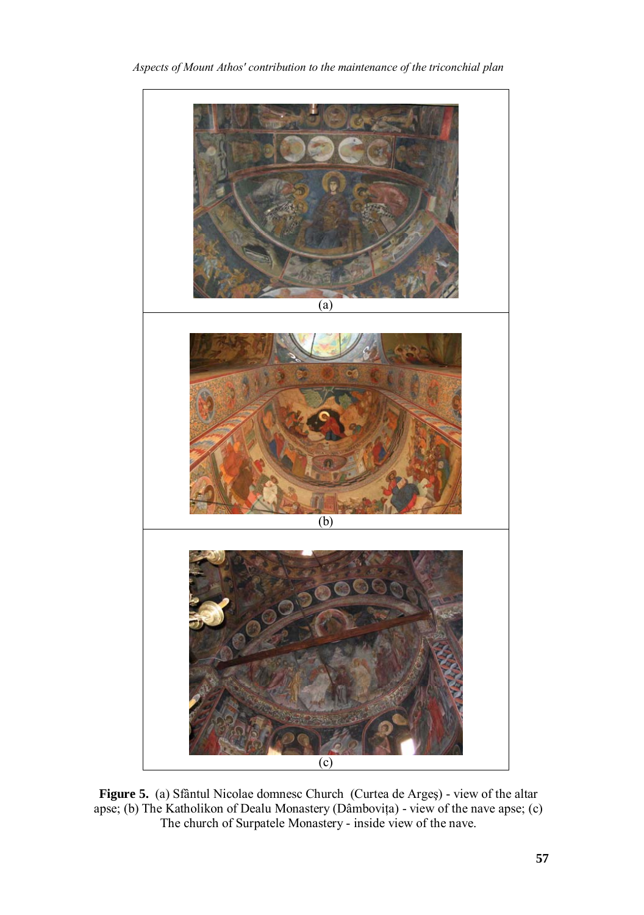

*Aspects of Mount Athos' contribution to the maintenance of the triconchial plan* 

**Figure 5.** (a) Sfântul Nicolae domnesc Church (Curtea de Argeş) - view of the altar apse; (b) The Katholikon of Dealu Monastery (Dâmboviţa) - view of the nave apse; (c) The church of Surpatele Monastery - inside view of the nave.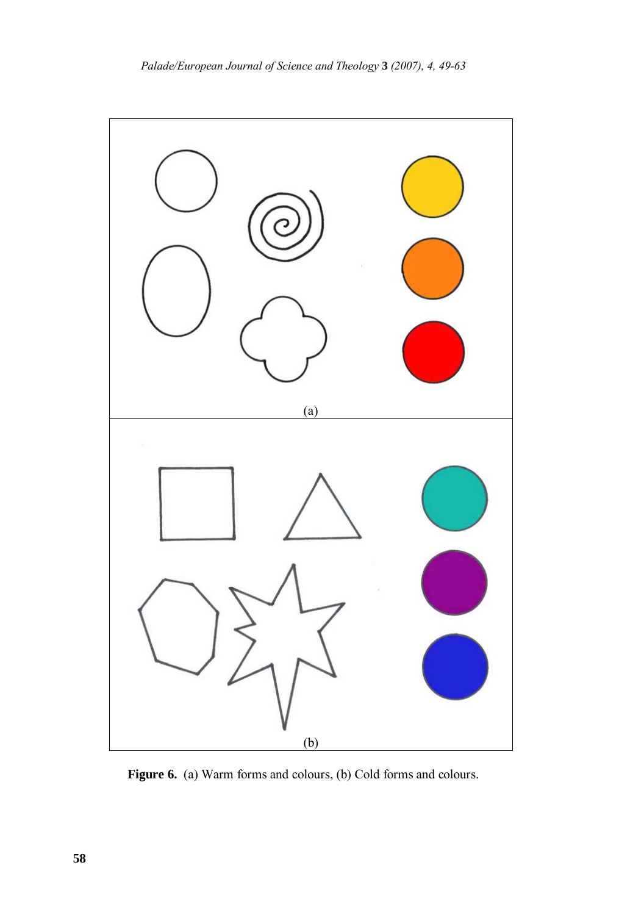

Figure 6. (a) Warm forms and colours, (b) Cold forms and colours.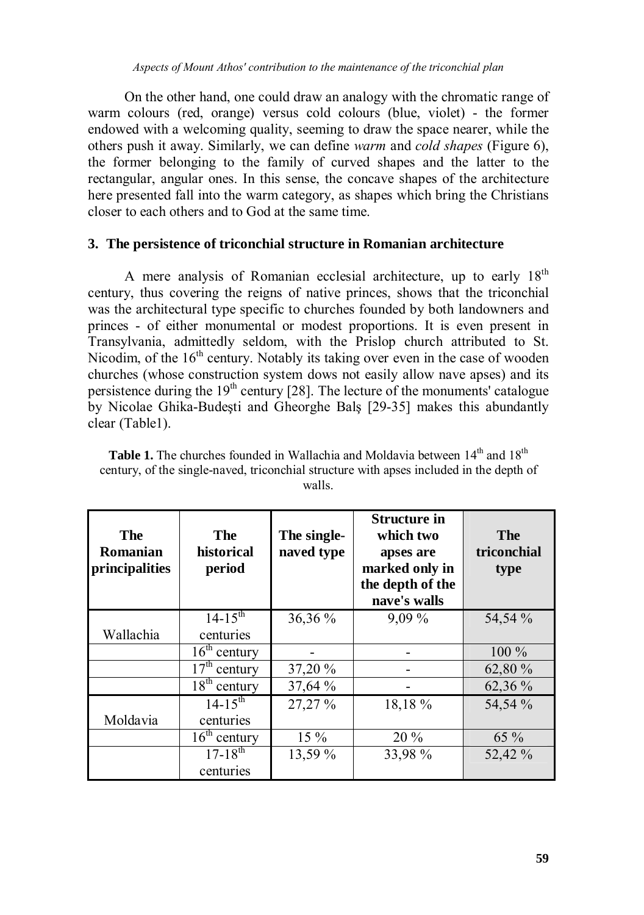On the other hand, one could draw an analogy with the chromatic range of warm colours (red, orange) versus cold colours (blue, violet) - the former endowed with a welcoming quality, seeming to draw the space nearer, while the others push it away. Similarly, we can define *warm* and *cold shapes* (Figure 6), the former belonging to the family of curved shapes and the latter to the rectangular, angular ones. In this sense, the concave shapes of the architecture here presented fall into the warm category, as shapes which bring the Christians closer to each others and to God at the same time.

# **3. The persistence of triconchial structure in Romanian architecture**

A mere analysis of Romanian ecclesial architecture, up to early  $18<sup>th</sup>$ century, thus covering the reigns of native princes, shows that the triconchial was the architectural type specific to churches founded by both landowners and princes - of either monumental or modest proportions. It is even present in Transylvania, admittedly seldom, with the Prislop church attributed to St. Nicodim, of the 16<sup>th</sup> century. Notably its taking over even in the case of wooden churches (whose construction system dows not easily allow nave apses) and its persistence during the  $19<sup>th</sup>$  century [28]. The lecture of the monuments' catalogue by Nicolae Ghika-Budeşti and Gheorghe Balş [29-35] makes this abundantly clear (Table1).

| <b>Table 1.</b> The churches founded in Wallachia and Moldavia between $14th$ and $18th$ |
|------------------------------------------------------------------------------------------|
| century, of the single-naved, triconchial structure with apses included in the depth of  |
| walls.                                                                                   |

| The<br>Romanian<br>principalities | The<br>historical<br>period  | The single-<br>naved type | <b>Structure in</b><br>which two<br>apses are<br>marked only in<br>the depth of the<br>nave's walls | The<br>triconchial<br>type |
|-----------------------------------|------------------------------|---------------------------|-----------------------------------------------------------------------------------------------------|----------------------------|
|                                   | $14 - 15^{th}$               | 36,36 %                   | $9,09\%$                                                                                            | 54,54 %                    |
| Wallachia                         | centuries                    |                           |                                                                                                     |                            |
|                                   | $16th$ century               |                           |                                                                                                     | $100\%$                    |
|                                   | $17th$ century               | 37,20 %                   |                                                                                                     | 62,80 %                    |
|                                   | $\overline{18^{th}}$ century | 37,64 %                   |                                                                                                     | 62,36 %                    |
|                                   | $14 - 15^{th}$               | 27,27 %                   | 18,18 %                                                                                             | 54,54 %                    |
| Moldavia                          | centuries                    |                           |                                                                                                     |                            |
|                                   | $16th$ century               | $15\%$                    | 20 %                                                                                                | 65 %                       |
|                                   | $17 - \overline{18^{th}}$    | 13,59 %                   | 33,98 %                                                                                             | 52,42 %                    |
|                                   | centuries                    |                           |                                                                                                     |                            |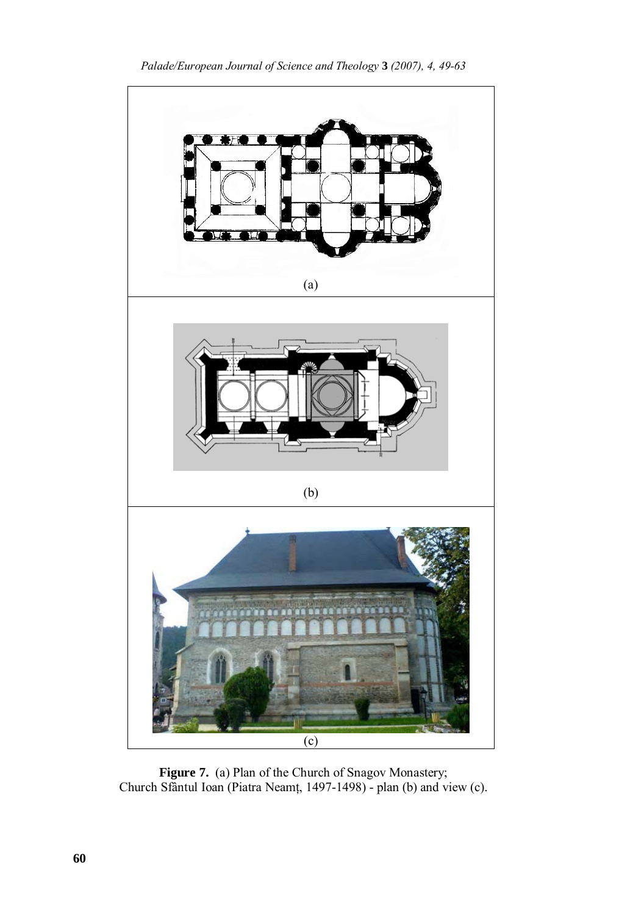

Figure 7. (a) Plan of the Church of Snagov Monastery; Church Sfântul Ioan (Piatra Neamţ, 1497-1498) - plan (b) and view (c).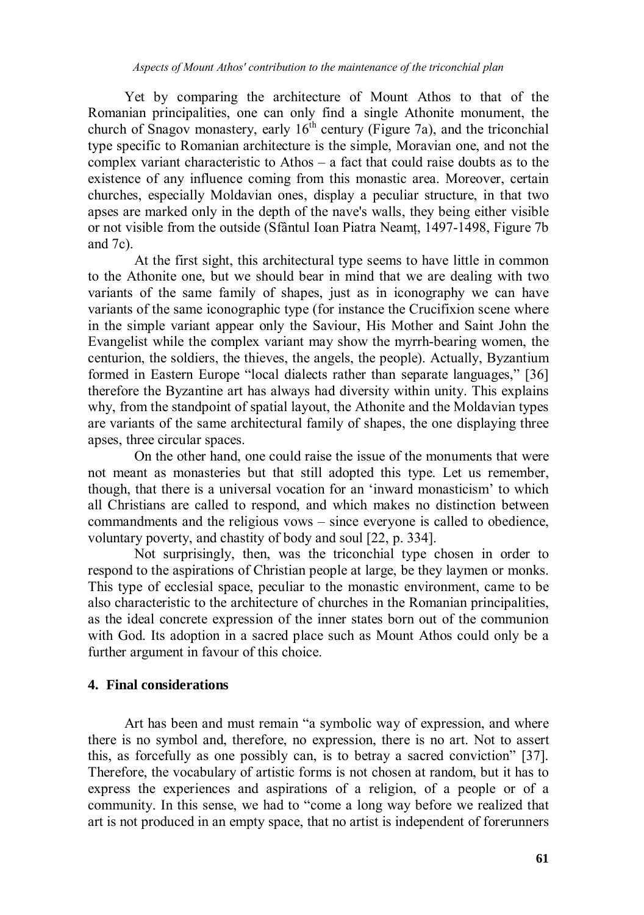Yet by comparing the architecture of Mount Athos to that of the Romanian principalities, one can only find a single Athonite monument, the church of Snagov monastery, early  $16<sup>th</sup>$  century (Figure 7a), and the triconchial type specific to Romanian architecture is the simple, Moravian one, and not the complex variant characteristic to Athos – a fact that could raise doubts as to the existence of any influence coming from this monastic area. Moreover, certain churches, especially Moldavian ones, display a peculiar structure, in that two apses are marked only in the depth of the nave's walls, they being either visible or not visible from the outside (Sfântul Ioan Piatra Neamt, 1497-1498, Figure 7b) and 7c).

 At the first sight, this architectural type seems to have little in common to the Athonite one, but we should bear in mind that we are dealing with two variants of the same family of shapes, just as in iconography we can have variants of the same iconographic type (for instance the Crucifixion scene where in the simple variant appear only the Saviour, His Mother and Saint John the Evangelist while the complex variant may show the myrrh-bearing women, the centurion, the soldiers, the thieves, the angels, the people). Actually, Byzantium formed in Eastern Europe "local dialects rather than separate languages," [36] therefore the Byzantine art has always had diversity within unity. This explains why, from the standpoint of spatial layout, the Athonite and the Moldavian types are variants of the same architectural family of shapes, the one displaying three apses, three circular spaces.

 On the other hand, one could raise the issue of the monuments that were not meant as monasteries but that still adopted this type. Let us remember, though, that there is a universal vocation for an 'inward monasticism' to which all Christians are called to respond, and which makes no distinction between commandments and the religious vows – since everyone is called to obedience, voluntary poverty, and chastity of body and soul [22, p. 334].

 Not surprisingly, then, was the triconchial type chosen in order to respond to the aspirations of Christian people at large, be they laymen or monks. This type of ecclesial space, peculiar to the monastic environment, came to be also characteristic to the architecture of churches in the Romanian principalities, as the ideal concrete expression of the inner states born out of the communion with God. Its adoption in a sacred place such as Mount Athos could only be a further argument in favour of this choice.

## **4. Final considerations**

 Art has been and must remain "a symbolic way of expression, and where there is no symbol and, therefore, no expression, there is no art. Not to assert this, as forcefully as one possibly can, is to betray a sacred conviction" [37]. Therefore, the vocabulary of artistic forms is not chosen at random, but it has to express the experiences and aspirations of a religion, of a people or of a community. In this sense, we had to "come a long way before we realized that art is not produced in an empty space, that no artist is independent of forerunners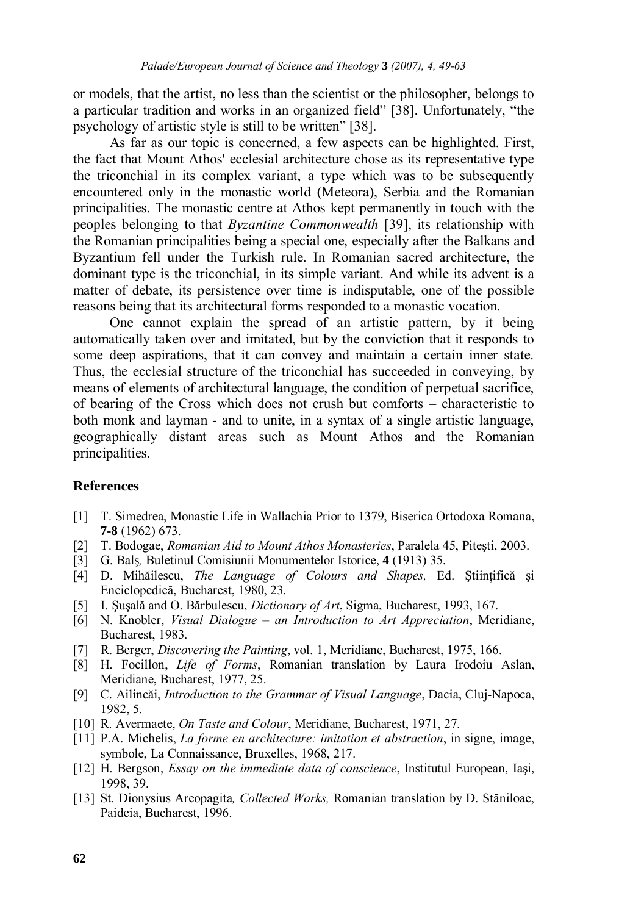or models, that the artist, no less than the scientist or the philosopher, belongs to a particular tradition and works in an organized field" [38]. Unfortunately, "the psychology of artistic style is still to be written" [38].

As far as our topic is concerned, a few aspects can be highlighted. First, the fact that Mount Athos' ecclesial architecture chose as its representative type the triconchial in its complex variant, a type which was to be subsequently encountered only in the monastic world (Meteora), Serbia and the Romanian principalities. The monastic centre at Athos kept permanently in touch with the peoples belonging to that *Byzantine Commonwealth* [39], its relationship with the Romanian principalities being a special one, especially after the Balkans and Byzantium fell under the Turkish rule. In Romanian sacred architecture, the dominant type is the triconchial, in its simple variant. And while its advent is a matter of debate, its persistence over time is indisputable, one of the possible reasons being that its architectural forms responded to a monastic vocation.

 One cannot explain the spread of an artistic pattern, by it being automatically taken over and imitated, but by the conviction that it responds to some deep aspirations, that it can convey and maintain a certain inner state. Thus, the ecclesial structure of the triconchial has succeeded in conveying, by means of elements of architectural language, the condition of perpetual sacrifice, of bearing of the Cross which does not crush but comforts – characteristic to both monk and layman - and to unite, in a syntax of a single artistic language, geographically distant areas such as Mount Athos and the Romanian principalities.

## **References**

- [1] T. Simedrea, Monastic Life in Wallachia Prior to 1379, Biserica Ortodoxa Romana, **7-8** (1962) 673.
- [2] T. Bodogae, *Romanian Aid to Mount Athos Monasteries*, Paralela 45, Piteşti, 2003. [3] G. Balş*,* Buletinul Comisiunii Monumentelor Istorice, **4** (1913) 35.
- 
- [4] D. Mihăilescu, *The Language of Colours and Shapes*, Ed. Stiintifică și Enciclopedică, Bucharest, 1980, 23.
- [5] I. Şuşală and O. Bărbulescu, *Dictionary of Art*, Sigma, Bucharest, 1993, 167.
- [6] N. Knobler, *Visual Dialogue an Introduction to Art Appreciation*, Meridiane, Bucharest, 1983.
- [7] R. Berger, *Discovering the Painting*, vol. 1, Meridiane, Bucharest, 1975, 166.
- [8] H. Focillon, *Life of Forms*, Romanian translation by Laura Irodoiu Aslan, Meridiane, Bucharest, 1977, 25.
- [9] C. Ailincăi, *Introduction to the Grammar of Visual Language*, Dacia, Cluj-Napoca, 1982, 5.
- [10] R. Avermaete, *On Taste and Colour*, Meridiane, Bucharest, 1971, 27.
- [11] P.A. Michelis, *La forme en architecture: imitation et abstraction*, in signe, image, symbole, La Connaissance, Bruxelles, 1968, 217.
- [12] H. Bergson, *Essay on the immediate data of conscience*, Institutul European, Iaşi, 1998, 39.
- [13] St. Dionysius Areopagita*, Collected Works,* Romanian translation by D. Stăniloae, Paideia, Bucharest, 1996.